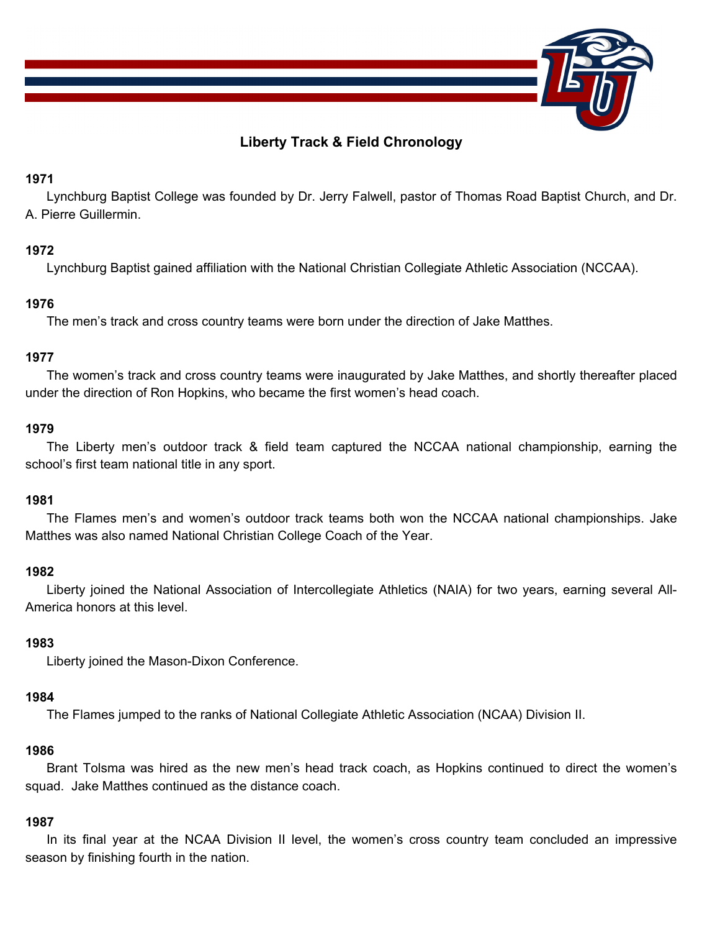

# **Liberty Track & Field Chronology**

## **1971**

 Lynchburg Baptist College was founded by Dr. Jerry Falwell, pastor of Thomas Road Baptist Church, and Dr. A. Pierre Guillermin.

# **1972**

Lynchburg Baptist gained affiliation with the National Christian Collegiate Athletic Association (NCCAA).

# **1976**

The men's track and cross country teams were born under the direction of Jake Matthes.

# **1977**

 The women's track and cross country teams were inaugurated by Jake Matthes, and shortly thereafter placed under the direction of Ron Hopkins, who became the first women's head coach.

# **1979**

 The Liberty men's outdoor track & field team captured the NCCAA national championship, earning the school's first team national title in any sport.

# **1981**

 The Flames men's and women's outdoor track teams both won the NCCAA national championships. Jake Matthes was also named National Christian College Coach of the Year.

## **1982**

 Liberty joined the National Association of Intercollegiate Athletics (NAIA) for two years, earning several All-America honors at this level.

## **1983**

Liberty joined the Mason-Dixon Conference.

## **1984**

The Flames jumped to the ranks of National Collegiate Athletic Association (NCAA) Division II.

## **1986**

 Brant Tolsma was hired as the new men's head track coach, as Hopkins continued to direct the women's squad. Jake Matthes continued as the distance coach.

# **1987**

 In its final year at the NCAA Division II level, the women's cross country team concluded an impressive season by finishing fourth in the nation.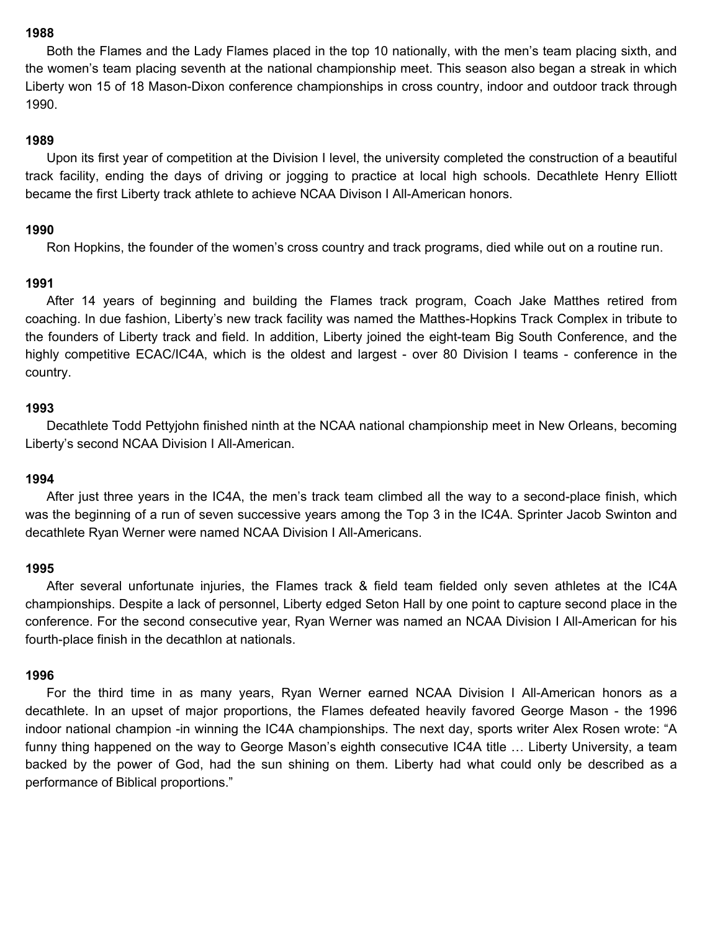Both the Flames and the Lady Flames placed in the top 10 nationally, with the men's team placing sixth, and the women's team placing seventh at the national championship meet. This season also began a streak in which Liberty won 15 of 18 Mason-Dixon conference championships in cross country, indoor and outdoor track through 1990.

### **1989**

 Upon its first year of competition at the Division I level, the university completed the construction of a beautiful track facility, ending the days of driving or jogging to practice at local high schools. Decathlete Henry Elliott became the first Liberty track athlete to achieve NCAA Divison I All-American honors.

## **1990**

Ron Hopkins, the founder of the women's cross country and track programs, died while out on a routine run.

### **1991**

 After 14 years of beginning and building the Flames track program, Coach Jake Matthes retired from coaching. In due fashion, Liberty's new track facility was named the Matthes-Hopkins Track Complex in tribute to the founders of Liberty track and field. In addition, Liberty joined the eight-team Big South Conference, and the highly competitive ECAC/IC4A, which is the oldest and largest - over 80 Division I teams - conference in the country.

### **1993**

 Decathlete Todd Pettyjohn finished ninth at the NCAA national championship meet in New Orleans, becoming Liberty's second NCAA Division I All-American.

#### **1994**

 After just three years in the IC4A, the men's track team climbed all the way to a second-place finish, which was the beginning of a run of seven successive years among the Top 3 in the IC4A. Sprinter Jacob Swinton and decathlete Ryan Werner were named NCAA Division I All-Americans.

#### **1995**

 After several unfortunate injuries, the Flames track & field team fielded only seven athletes at the IC4A championships. Despite a lack of personnel, Liberty edged Seton Hall by one point to capture second place in the conference. For the second consecutive year, Ryan Werner was named an NCAA Division I All-American for his fourth-place finish in the decathlon at nationals.

#### **1996**

 For the third time in as many years, Ryan Werner earned NCAA Division I All-American honors as a decathlete. In an upset of major proportions, the Flames defeated heavily favored George Mason - the 1996 indoor national champion -in winning the IC4A championships. The next day, sports writer Alex Rosen wrote: "A funny thing happened on the way to George Mason's eighth consecutive IC4A title … Liberty University, a team backed by the power of God, had the sun shining on them. Liberty had what could only be described as a performance of Biblical proportions."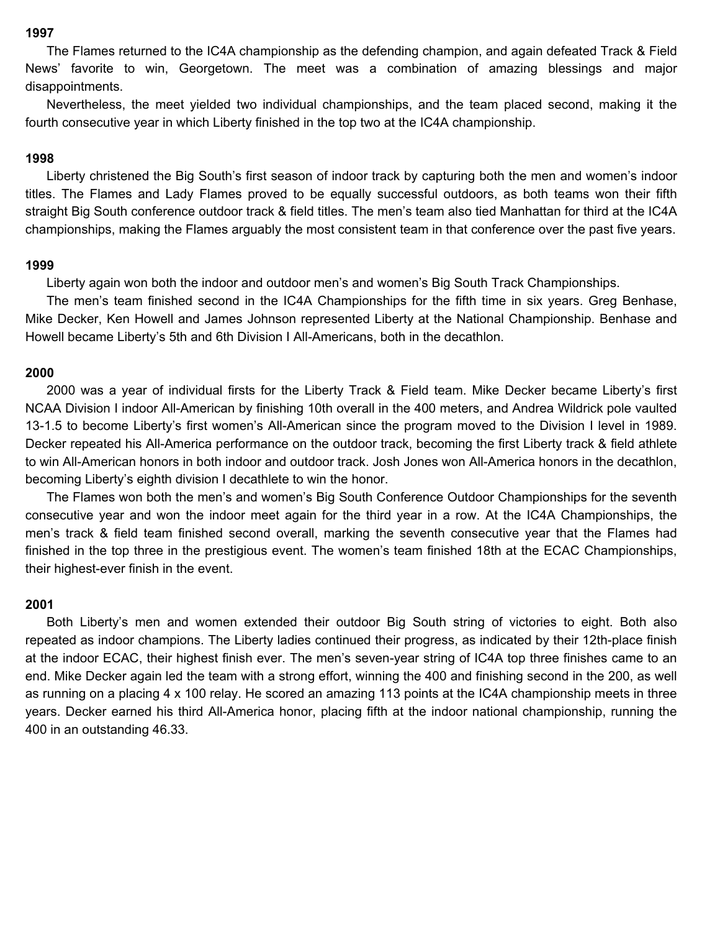The Flames returned to the IC4A championship as the defending champion, and again defeated Track & Field News' favorite to win, Georgetown. The meet was a combination of amazing blessings and major disappointments.

 Nevertheless, the meet yielded two individual championships, and the team placed second, making it the fourth consecutive year in which Liberty finished in the top two at the IC4A championship.

## **1998**

 Liberty christened the Big South's first season of indoor track by capturing both the men and women's indoor titles. The Flames and Lady Flames proved to be equally successful outdoors, as both teams won their fifth straight Big South conference outdoor track & field titles. The men's team also tied Manhattan for third at the IC4A championships, making the Flames arguably the most consistent team in that conference over the past five years.

#### **1999**

Liberty again won both the indoor and outdoor men's and women's Big South Track Championships.

 The men's team finished second in the IC4A Championships for the fifth time in six years. Greg Benhase, Mike Decker, Ken Howell and James Johnson represented Liberty at the National Championship. Benhase and Howell became Liberty's 5th and 6th Division I All-Americans, both in the decathlon.

#### **2000**

 2000 was a year of individual firsts for the Liberty Track & Field team. Mike Decker became Liberty's first NCAA Division I indoor All-American by finishing 10th overall in the 400 meters, and Andrea Wildrick pole vaulted 13-1.5 to become Liberty's first women's All-American since the program moved to the Division I level in 1989. Decker repeated his All-America performance on the outdoor track, becoming the first Liberty track & field athlete to win All-American honors in both indoor and outdoor track. Josh Jones won All-America honors in the decathlon, becoming Liberty's eighth division I decathlete to win the honor.

 The Flames won both the men's and women's Big South Conference Outdoor Championships for the seventh consecutive year and won the indoor meet again for the third year in a row. At the IC4A Championships, the men's track & field team finished second overall, marking the seventh consecutive year that the Flames had finished in the top three in the prestigious event. The women's team finished 18th at the ECAC Championships, their highest-ever finish in the event.

### **2001**

 Both Liberty's men and women extended their outdoor Big South string of victories to eight. Both also repeated as indoor champions. The Liberty ladies continued their progress, as indicated by their 12th-place finish at the indoor ECAC, their highest finish ever. The men's seven-year string of IC4A top three finishes came to an end. Mike Decker again led the team with a strong effort, winning the 400 and finishing second in the 200, as well as running on a placing 4 x 100 relay. He scored an amazing 113 points at the IC4A championship meets in three years. Decker earned his third All-America honor, placing fifth at the indoor national championship, running the 400 in an outstanding 46.33.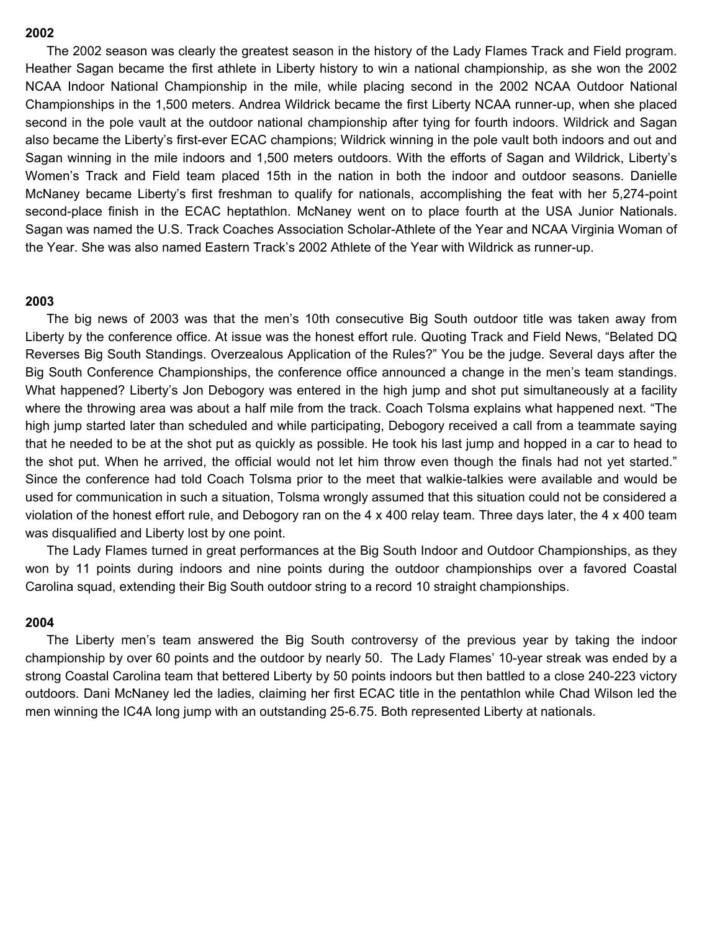The 2002 season was clearly the greatest season in the history of the Lady Flames Track and Field program. Heather Sagan became the first athlete in Liberty history to win a national championship, as she won the 2002 NCAA Indoor National Championship in the mile, while placing second in the 2002 NCAA Outdoor National Championships in the 1,500 meters. Andrea Wildrick became the first Liberty NCAA runner-up, when she placed second in the pole vault at the outdoor national championship after tying for fourth indoors. Wildrick and Sagan also became the Liberty's first-ever ECAC champions; Wildrick winning in the pole vault both indoors and out and Sagan winning in the mile indoors and 1,500 meters outdoors. With the efforts of Sagan and Wildrick, Liberty's Women's Track and Field team placed 15th in the nation in both the indoor and outdoor seasons. Danielle McNaney became Liberty's first freshman to qualify for nationals, accomplishing the feat with her 5,274-point second-place finish in the ECAC heptathlon. McNaney went on to place fourth at the USA Junior Nationals. Sagan was named the U.S. Track Coaches Association Scholar-Athlete of the Year and NCAA Virginia Woman of the Year. She was also named Eastern Track's 2002 Athlete of the Year with Wildrick as runner-up.

#### **2003**

 The big news of 2003 was that the men's 10th consecutive Big South outdoor title was taken away from Liberty by the conference office. At issue was the honest effort rule. Quoting Track and Field News, "Belated DQ Reverses Big South Standings. Overzealous Application of the Rules?" You be the judge. Several days after the Big South Conference Championships, the conference office announced a change in the men's team standings. What happened? Liberty's Jon Debogory was entered in the high jump and shot put simultaneously at a facility where the throwing area was about a half mile from the track. Coach Tolsma explains what happened next. "The high jump started later than scheduled and while participating, Debogory received a call from a teammate saying that he needed to be at the shot put as quickly as possible. He took his last jump and hopped in a car to head to the shot put. When he arrived, the official would not let him throw even though the finals had not yet started." Since the conference had told Coach Tolsma prior to the meet that walkie-talkies were available and would be used for communication in such a situation, Tolsma wrongly assumed that this situation could not be considered a violation of the honest effort rule, and Debogory ran on the 4 x 400 relay team. Three days later, the 4 x 400 team was disqualified and Liberty lost by one point.

 The Lady Flames turned in great performances at the Big South Indoor and Outdoor Championships, as they won by 11 points during indoors and nine points during the outdoor championships over a favored Coastal Carolina squad, extending their Big South outdoor string to a record 10 straight championships.

### **2004**

 The Liberty men's team answered the Big South controversy of the previous year by taking the indoor championship by over 60 points and the outdoor by nearly 50. The Lady Flames' 10-year streak was ended by a strong Coastal Carolina team that bettered Liberty by 50 points indoors but then battled to a close 240-223 victory outdoors. Dani McNaney led the ladies, claiming her first ECAC title in the pentathlon while Chad Wilson led the men winning the IC4A long jump with an outstanding 25-6.75. Both represented Liberty at nationals.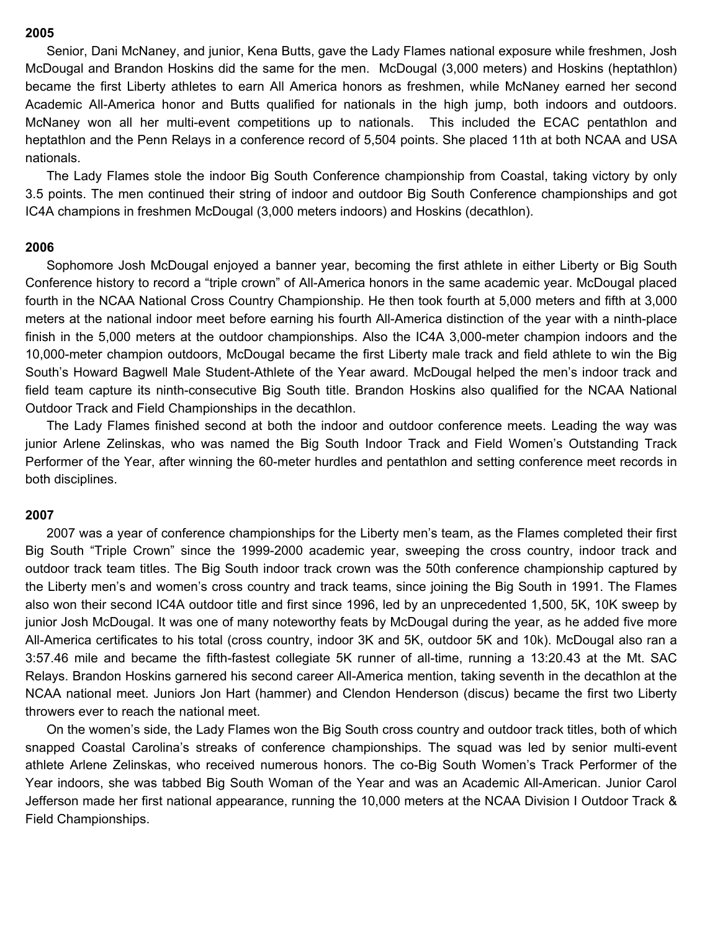Senior, Dani McNaney, and junior, Kena Butts, gave the Lady Flames national exposure while freshmen, Josh McDougal and Brandon Hoskins did the same for the men. McDougal (3,000 meters) and Hoskins (heptathlon) became the first Liberty athletes to earn All America honors as freshmen, while McNaney earned her second Academic All-America honor and Butts qualified for nationals in the high jump, both indoors and outdoors. McNaney won all her multi-event competitions up to nationals. This included the ECAC pentathlon and heptathlon and the Penn Relays in a conference record of 5,504 points. She placed 11th at both NCAA and USA nationals.

 The Lady Flames stole the indoor Big South Conference championship from Coastal, taking victory by only 3.5 points. The men continued their string of indoor and outdoor Big South Conference championships and got IC4A champions in freshmen McDougal (3,000 meters indoors) and Hoskins (decathlon).

#### **2006**

 Sophomore Josh McDougal enjoyed a banner year, becoming the first athlete in either Liberty or Big South Conference history to record a "triple crown" of All-America honors in the same academic year. McDougal placed fourth in the NCAA National Cross Country Championship. He then took fourth at 5,000 meters and fifth at 3,000 meters at the national indoor meet before earning his fourth All-America distinction of the year with a ninth-place finish in the 5,000 meters at the outdoor championships. Also the IC4A 3,000-meter champion indoors and the 10,000-meter champion outdoors, McDougal became the first Liberty male track and field athlete to win the Big South's Howard Bagwell Male Student-Athlete of the Year award. McDougal helped the men's indoor track and field team capture its ninth-consecutive Big South title. Brandon Hoskins also qualified for the NCAA National Outdoor Track and Field Championships in the decathlon.

 The Lady Flames finished second at both the indoor and outdoor conference meets. Leading the way was junior Arlene Zelinskas, who was named the Big South Indoor Track and Field Women's Outstanding Track Performer of the Year, after winning the 60-meter hurdles and pentathlon and setting conference meet records in both disciplines.

#### **2007**

 2007 was a year of conference championships for the Liberty men's team, as the Flames completed their first Big South "Triple Crown" since the 1999-2000 academic year, sweeping the cross country, indoor track and outdoor track team titles. The Big South indoor track crown was the 50th conference championship captured by the Liberty men's and women's cross country and track teams, since joining the Big South in 1991. The Flames also won their second IC4A outdoor title and first since 1996, led by an unprecedented 1,500, 5K, 10K sweep by junior Josh McDougal. It was one of many noteworthy feats by McDougal during the year, as he added five more All-America certificates to his total (cross country, indoor 3K and 5K, outdoor 5K and 10k). McDougal also ran a 3:57.46 mile and became the fifth-fastest collegiate 5K runner of all-time, running a 13:20.43 at the Mt. SAC Relays. Brandon Hoskins garnered his second career All-America mention, taking seventh in the decathlon at the NCAA national meet. Juniors Jon Hart (hammer) and Clendon Henderson (discus) became the first two Liberty throwers ever to reach the national meet.

 On the women's side, the Lady Flames won the Big South cross country and outdoor track titles, both of which snapped Coastal Carolina's streaks of conference championships. The squad was led by senior multi-event athlete Arlene Zelinskas, who received numerous honors. The co-Big South Women's Track Performer of the Year indoors, she was tabbed Big South Woman of the Year and was an Academic All-American. Junior Carol Jefferson made her first national appearance, running the 10,000 meters at the NCAA Division I Outdoor Track & Field Championships.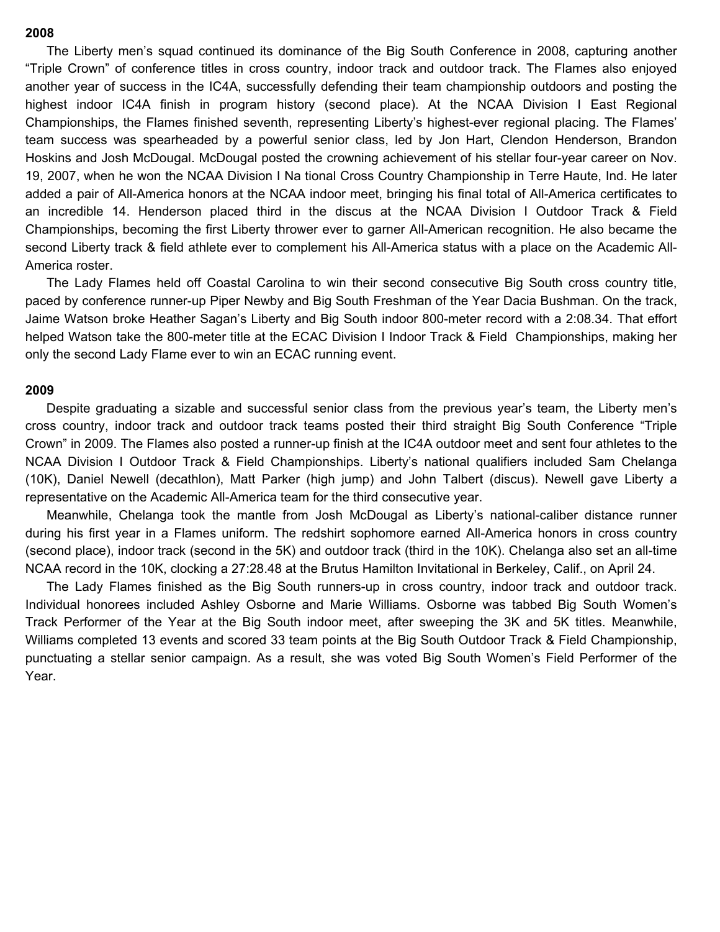The Liberty men's squad continued its dominance of the Big South Conference in 2008, capturing another "Triple Crown" of conference titles in cross country, indoor track and outdoor track. The Flames also enjoyed another year of success in the IC4A, successfully defending their team championship outdoors and posting the highest indoor IC4A finish in program history (second place). At the NCAA Division I East Regional Championships, the Flames finished seventh, representing Liberty's highest-ever regional placing. The Flames' team success was spearheaded by a powerful senior class, led by Jon Hart, Clendon Henderson, Brandon Hoskins and Josh McDougal. McDougal posted the crowning achievement of his stellar four-year career on Nov. 19, 2007, when he won the NCAA Division I Na tional Cross Country Championship in Terre Haute, Ind. He later added a pair of All-America honors at the NCAA indoor meet, bringing his final total of All-America certificates to an incredible 14. Henderson placed third in the discus at the NCAA Division I Outdoor Track & Field Championships, becoming the first Liberty thrower ever to garner All-American recognition. He also became the second Liberty track & field athlete ever to complement his All-America status with a place on the Academic All-America roster.

 The Lady Flames held off Coastal Carolina to win their second consecutive Big South cross country title, paced by conference runner-up Piper Newby and Big South Freshman of the Year Dacia Bushman. On the track, Jaime Watson broke Heather Sagan's Liberty and Big South indoor 800-meter record with a 2:08.34. That effort helped Watson take the 800-meter title at the ECAC Division I Indoor Track & Field Championships, making her only the second Lady Flame ever to win an ECAC running event.

#### **2009**

Despite graduating a sizable and successful senior class from the previous year's team, the Liberty men's cross country, indoor track and outdoor track teams posted their third straight Big South Conference "Triple Crown" in 2009. The Flames also posted a runner-up finish at the IC4A outdoor meet and sent four athletes to the NCAA Division I Outdoor Track & Field Championships. Liberty's national qualifiers included Sam Chelanga (10K), Daniel Newell (decathlon), Matt Parker (high jump) and John Talbert (discus). Newell gave Liberty a representative on the Academic All-America team for the third consecutive year.

 Meanwhile, Chelanga took the mantle from Josh McDougal as Liberty's national-caliber distance runner during his first year in a Flames uniform. The redshirt sophomore earned All-America honors in cross country (second place), indoor track (second in the 5K) and outdoor track (third in the 10K). Chelanga also set an all-time NCAA record in the 10K, clocking a 27:28.48 at the Brutus Hamilton Invitational in Berkeley, Calif., on April 24.

 The Lady Flames finished as the Big South runners-up in cross country, indoor track and outdoor track. Individual honorees included Ashley Osborne and Marie Williams. Osborne was tabbed Big South Women's Track Performer of the Year at the Big South indoor meet, after sweeping the 3K and 5K titles. Meanwhile, Williams completed 13 events and scored 33 team points at the Big South Outdoor Track & Field Championship, punctuating a stellar senior campaign. As a result, she was voted Big South Women's Field Performer of the Year.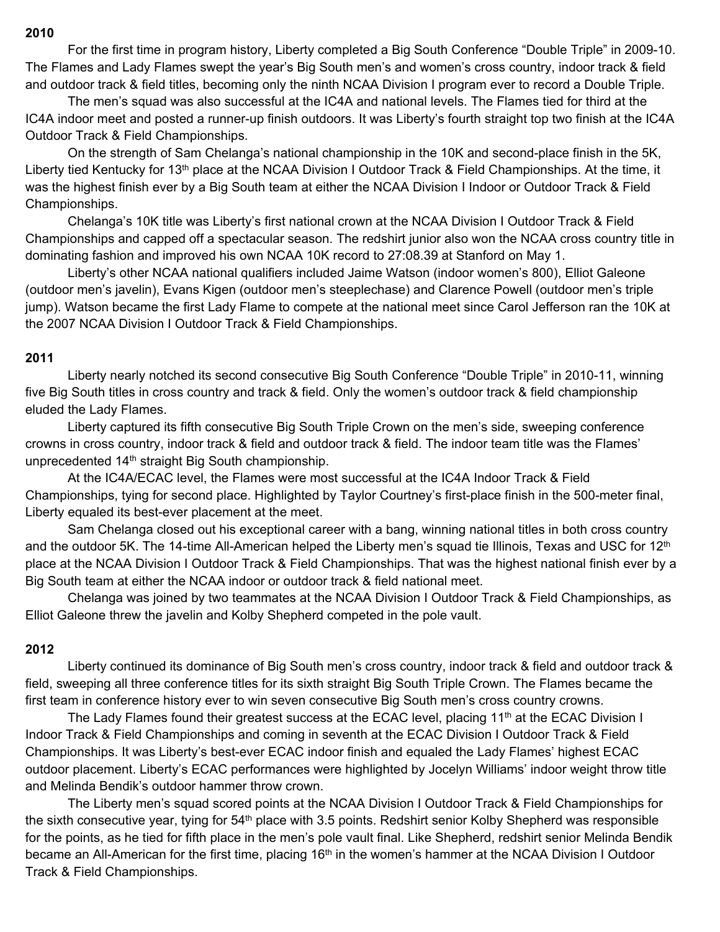For the first time in program history, Liberty completed a Big South Conference "Double Triple" in 2009-10. The Flames and Lady Flames swept the year's Big South men's and women's cross country, indoor track & field and outdoor track & field titles, becoming only the ninth NCAA Division I program ever to record a Double Triple.

 The men's squad was also successful at the IC4A and national levels. The Flames tied for third at the IC4A indoor meet and posted a runner-up finish outdoors. It was Liberty's fourth straight top two finish at the IC4A Outdoor Track & Field Championships.

 On the strength of Sam Chelanga's national championship in the 10K and second-place finish in the 5K, Liberty tied Kentucky for 13<sup>th</sup> place at the NCAA Division I Outdoor Track & Field Championships. At the time, it was the highest finish ever by a Big South team at either the NCAA Division I Indoor or Outdoor Track & Field Championships.

 Chelanga's 10K title was Liberty's first national crown at the NCAA Division I Outdoor Track & Field Championships and capped off a spectacular season. The redshirt junior also won the NCAA cross country title in dominating fashion and improved his own NCAA 10K record to 27:08.39 at Stanford on May 1.

 Liberty's other NCAA national qualifiers included Jaime Watson (indoor women's 800), Elliot Galeone (outdoor men's javelin), Evans Kigen (outdoor men's steeplechase) and Clarence Powell (outdoor men's triple jump). Watson became the first Lady Flame to compete at the national meet since Carol Jefferson ran the 10K at the 2007 NCAA Division I Outdoor Track & Field Championships.

## **2011**

 Liberty nearly notched its second consecutive Big South Conference "Double Triple" in 2010-11, winning five Big South titles in cross country and track & field. Only the women's outdoor track & field championship eluded the Lady Flames.

 Liberty captured its fifth consecutive Big South Triple Crown on the men's side, sweeping conference crowns in cross country, indoor track & field and outdoor track & field. The indoor team title was the Flames' unprecedented 14<sup>th</sup> straight Big South championship.

 At the IC4A/ECAC level, the Flames were most successful at the IC4A Indoor Track & Field Championships, tying for second place. Highlighted by Taylor Courtney's first-place finish in the 500-meter final, Liberty equaled its best-ever placement at the meet.

 Sam Chelanga closed out his exceptional career with a bang, winning national titles in both cross country and the outdoor 5K. The 14-time All-American helped the Liberty men's squad tie Illinois, Texas and USC for 12<sup>th</sup> place at the NCAA Division I Outdoor Track & Field Championships. That was the highest national finish ever by a Big South team at either the NCAA indoor or outdoor track & field national meet.

 Chelanga was joined by two teammates at the NCAA Division I Outdoor Track & Field Championships, as Elliot Galeone threw the javelin and Kolby Shepherd competed in the pole vault.

## **2012**

 Liberty continued its dominance of Big South men's cross country, indoor track & field and outdoor track & field, sweeping all three conference titles for its sixth straight Big South Triple Crown. The Flames became the first team in conference history ever to win seven consecutive Big South men's cross country crowns.

The Lady Flames found their greatest success at the ECAC level, placing 11<sup>th</sup> at the ECAC Division I Indoor Track & Field Championships and coming in seventh at the ECAC Division I Outdoor Track & Field Championships. It was Liberty's best-ever ECAC indoor finish and equaled the Lady Flames' highest ECAC outdoor placement. Liberty's ECAC performances were highlighted by Jocelyn Williams' indoor weight throw title and Melinda Bendik's outdoor hammer throw crown.

 The Liberty men's squad scored points at the NCAA Division I Outdoor Track & Field Championships for the sixth consecutive year, tying for 54<sup>th</sup> place with 3.5 points. Redshirt senior Kolby Shepherd was responsible for the points, as he tied for fifth place in the men's pole vault final. Like Shepherd, redshirt senior Melinda Bendik became an All-American for the first time, placing 16<sup>th</sup> in the women's hammer at the NCAA Division I Outdoor Track & Field Championships.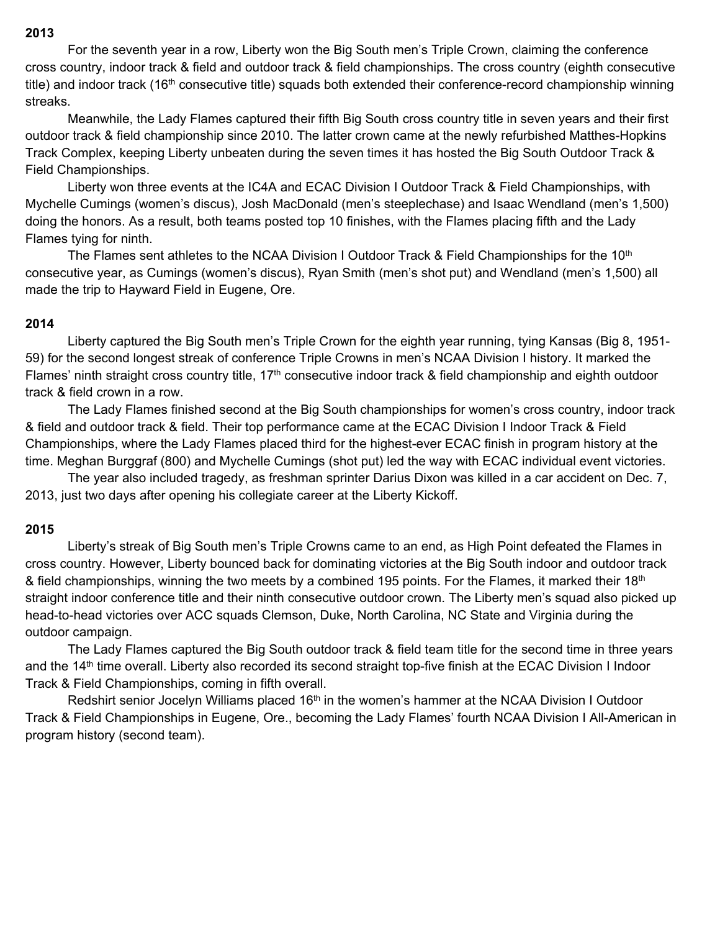For the seventh year in a row, Liberty won the Big South men's Triple Crown, claiming the conference cross country, indoor track & field and outdoor track & field championships. The cross country (eighth consecutive title) and indoor track (16<sup>th</sup> consecutive title) squads both extended their conference-record championship winning streaks.

 Meanwhile, the Lady Flames captured their fifth Big South cross country title in seven years and their first outdoor track & field championship since 2010. The latter crown came at the newly refurbished Matthes-Hopkins Track Complex, keeping Liberty unbeaten during the seven times it has hosted the Big South Outdoor Track & Field Championships.

 Liberty won three events at the IC4A and ECAC Division I Outdoor Track & Field Championships, with Mychelle Cumings (women's discus), Josh MacDonald (men's steeplechase) and Isaac Wendland (men's 1,500) doing the honors. As a result, both teams posted top 10 finishes, with the Flames placing fifth and the Lady Flames tying for ninth.

The Flames sent athletes to the NCAA Division I Outdoor Track & Field Championships for the 10<sup>th</sup> consecutive year, as Cumings (women's discus), Ryan Smith (men's shot put) and Wendland (men's 1,500) all made the trip to Hayward Field in Eugene, Ore.

## **2014**

 Liberty captured the Big South men's Triple Crown for the eighth year running, tying Kansas (Big 8, 1951- 59) for the second longest streak of conference Triple Crowns in men's NCAA Division I history. It marked the Flames' ninth straight cross country title, 17<sup>th</sup> consecutive indoor track & field championship and eighth outdoor track & field crown in a row.

 The Lady Flames finished second at the Big South championships for women's cross country, indoor track & field and outdoor track & field. Their top performance came at the ECAC Division I Indoor Track & Field Championships, where the Lady Flames placed third for the highest-ever ECAC finish in program history at the time. Meghan Burggraf (800) and Mychelle Cumings (shot put) led the way with ECAC individual event victories.

 The year also included tragedy, as freshman sprinter Darius Dixon was killed in a car accident on Dec. 7, 2013, just two days after opening his collegiate career at the Liberty Kickoff.

## **2015**

 Liberty's streak of Big South men's Triple Crowns came to an end, as High Point defeated the Flames in cross country. However, Liberty bounced back for dominating victories at the Big South indoor and outdoor track & field championships, winning the two meets by a combined 195 points. For the Flames, it marked their 18<sup>th</sup> straight indoor conference title and their ninth consecutive outdoor crown. The Liberty men's squad also picked up head-to-head victories over ACC squads Clemson, Duke, North Carolina, NC State and Virginia during the outdoor campaign.

 The Lady Flames captured the Big South outdoor track & field team title for the second time in three years and the 14<sup>th</sup> time overall. Liberty also recorded its second straight top-five finish at the ECAC Division I Indoor Track & Field Championships, coming in fifth overall.

Redshirt senior Jocelyn Williams placed 16<sup>th</sup> in the women's hammer at the NCAA Division I Outdoor Track & Field Championships in Eugene, Ore., becoming the Lady Flames' fourth NCAA Division I All-American in program history (second team).

### **2013**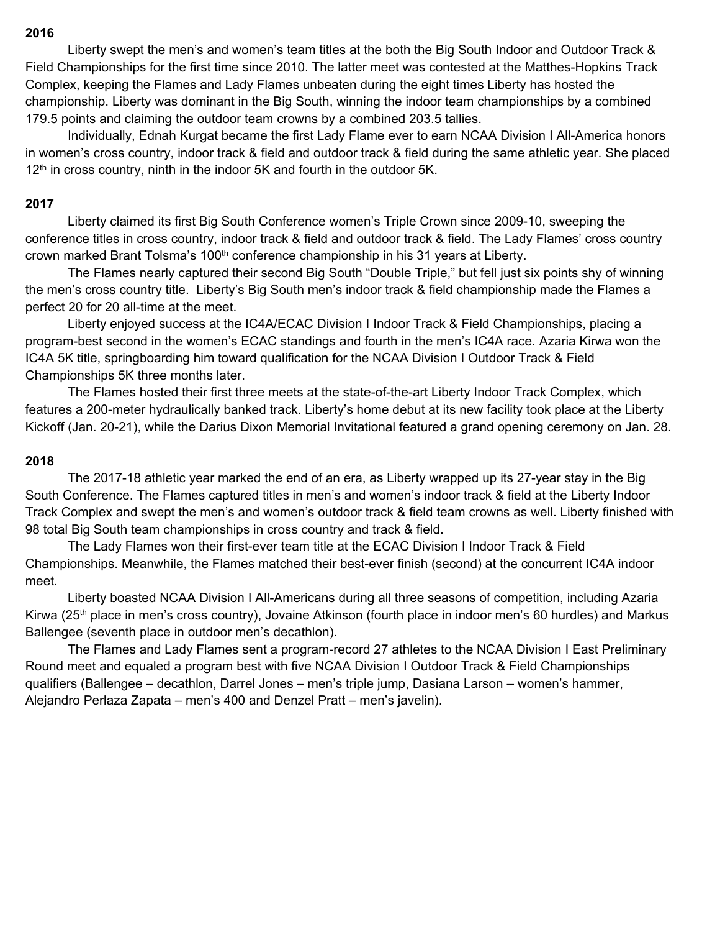Liberty swept the men's and women's team titles at the both the Big South Indoor and Outdoor Track & Field Championships for the first time since 2010. The latter meet was contested at the Matthes-Hopkins Track Complex, keeping the Flames and Lady Flames unbeaten during the eight times Liberty has hosted the championship. Liberty was dominant in the Big South, winning the indoor team championships by a combined 179.5 points and claiming the outdoor team crowns by a combined 203.5 tallies.

 Individually, Ednah Kurgat became the first Lady Flame ever to earn NCAA Division I All-America honors in women's cross country, indoor track & field and outdoor track & field during the same athletic year. She placed 12<sup>th</sup> in cross country, ninth in the indoor 5K and fourth in the outdoor 5K.

## **2017**

Liberty claimed its first Big South Conference women's Triple Crown since 2009-10, sweeping the conference titles in cross country, indoor track & field and outdoor track & field. The Lady Flames' cross country crown marked Brant Tolsma's 100<sup>th</sup> conference championship in his 31 years at Liberty.

 The Flames nearly captured their second Big South "Double Triple," but fell just six points shy of winning the men's cross country title. Liberty's Big South men's indoor track & field championship made the Flames a perfect 20 for 20 all-time at the meet.

 Liberty enjoyed success at the IC4A/ECAC Division I Indoor Track & Field Championships, placing a program-best second in the women's ECAC standings and fourth in the men's IC4A race. Azaria Kirwa won the IC4A 5K title, springboarding him toward qualification for the NCAA Division I Outdoor Track & Field Championships 5K three months later.

 The Flames hosted their first three meets at the state-of-the-art Liberty Indoor Track Complex, which features a 200-meter hydraulically banked track. Liberty's home debut at its new facility took place at the Liberty Kickoff (Jan. 20-21), while the Darius Dixon Memorial Invitational featured a grand opening ceremony on Jan. 28.

## **2018**

 The 2017-18 athletic year marked the end of an era, as Liberty wrapped up its 27-year stay in the Big South Conference. The Flames captured titles in men's and women's indoor track & field at the Liberty Indoor Track Complex and swept the men's and women's outdoor track & field team crowns as well. Liberty finished with 98 total Big South team championships in cross country and track & field.

 The Lady Flames won their first-ever team title at the ECAC Division I Indoor Track & Field Championships. Meanwhile, the Flames matched their best-ever finish (second) at the concurrent IC4A indoor meet.

 Liberty boasted NCAA Division I All-Americans during all three seasons of competition, including Azaria Kirwa (25<sup>th</sup> place in men's cross country), Jovaine Atkinson (fourth place in indoor men's 60 hurdles) and Markus Ballengee (seventh place in outdoor men's decathlon).

 The Flames and Lady Flames sent a program-record 27 athletes to the NCAA Division I East Preliminary Round meet and equaled a program best with five NCAA Division I Outdoor Track & Field Championships qualifiers (Ballengee – decathlon, Darrel Jones – men's triple jump, Dasiana Larson – women's hammer, Alejandro Perlaza Zapata – men's 400 and Denzel Pratt – men's javelin).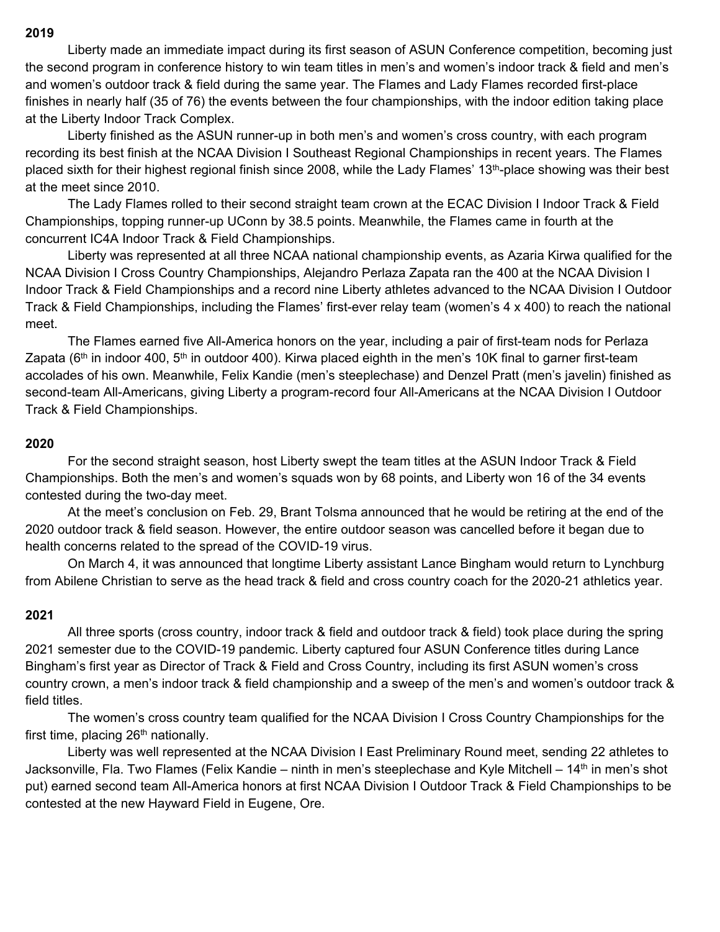Liberty made an immediate impact during its first season of ASUN Conference competition, becoming just the second program in conference history to win team titles in men's and women's indoor track & field and men's and women's outdoor track & field during the same year. The Flames and Lady Flames recorded first-place finishes in nearly half (35 of 76) the events between the four championships, with the indoor edition taking place at the Liberty Indoor Track Complex.

 Liberty finished as the ASUN runner-up in both men's and women's cross country, with each program recording its best finish at the NCAA Division I Southeast Regional Championships in recent years. The Flames placed sixth for their highest regional finish since 2008, while the Lady Flames' 13<sup>th</sup>-place showing was their best at the meet since 2010.

 The Lady Flames rolled to their second straight team crown at the ECAC Division I Indoor Track & Field Championships, topping runner-up UConn by 38.5 points. Meanwhile, the Flames came in fourth at the concurrent IC4A Indoor Track & Field Championships.

 Liberty was represented at all three NCAA national championship events, as Azaria Kirwa qualified for the NCAA Division I Cross Country Championships, Alejandro Perlaza Zapata ran the 400 at the NCAA Division I Indoor Track & Field Championships and a record nine Liberty athletes advanced to the NCAA Division I Outdoor Track & Field Championships, including the Flames' first-ever relay team (women's 4 x 400) to reach the national meet.

 The Flames earned five All-America honors on the year, including a pair of first-team nods for Perlaza Zapata ( $6<sup>th</sup>$  in indoor 400,  $5<sup>th</sup>$  in outdoor 400). Kirwa placed eighth in the men's 10K final to garner first-team accolades of his own. Meanwhile, Felix Kandie (men's steeplechase) and Denzel Pratt (men's javelin) finished as second-team All-Americans, giving Liberty a program-record four All-Americans at the NCAA Division I Outdoor Track & Field Championships.

## **2020**

 For the second straight season, host Liberty swept the team titles at the ASUN Indoor Track & Field Championships. Both the men's and women's squads won by 68 points, and Liberty won 16 of the 34 events contested during the two-day meet.

 At the meet's conclusion on Feb. 29, Brant Tolsma announced that he would be retiring at the end of the 2020 outdoor track & field season. However, the entire outdoor season was cancelled before it began due to health concerns related to the spread of the COVID-19 virus.

 On March 4, it was announced that longtime Liberty assistant Lance Bingham would return to Lynchburg from Abilene Christian to serve as the head track & field and cross country coach for the 2020-21 athletics year.

## **2021**

All three sports (cross country, indoor track & field and outdoor track & field) took place during the spring 2021 semester due to the COVID-19 pandemic. Liberty captured four ASUN Conference titles during Lance Bingham's first year as Director of Track & Field and Cross Country, including its first ASUN women's cross country crown, a men's indoor track & field championship and a sweep of the men's and women's outdoor track & field titles.

 The women's cross country team qualified for the NCAA Division I Cross Country Championships for the first time, placing  $26<sup>th</sup>$  nationally.

 Liberty was well represented at the NCAA Division I East Preliminary Round meet, sending 22 athletes to Jacksonville, Fla. Two Flames (Felix Kandie – ninth in men's steeplechase and Kyle Mitchell – 14<sup>th</sup> in men's shot put) earned second team All-America honors at first NCAA Division I Outdoor Track & Field Championships to be contested at the new Hayward Field in Eugene, Ore.

#### **2019**